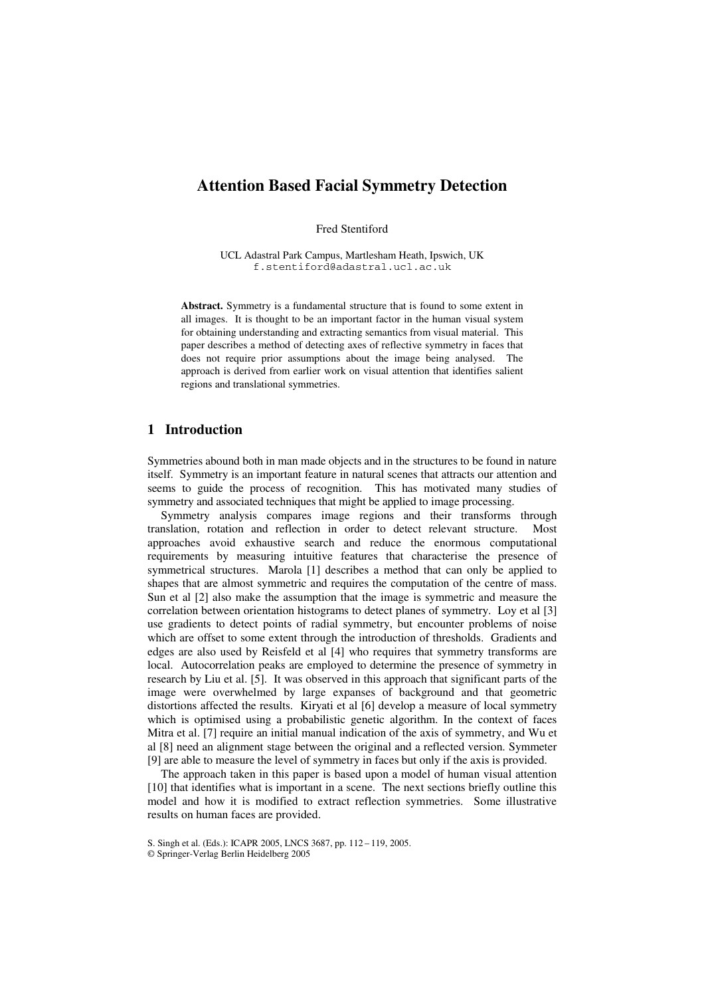# **Attention Based Facial Symmetry Detection**

Fred Stentiford

UCL Adastral Park Campus, Martlesham Heath, Ipswich, UK f.stentiford@adastral.ucl.ac.uk

**Abstract.** Symmetry is a fundamental structure that is found to some extent in all images. It is thought to be an important factor in the human visual system for obtaining understanding and extracting semantics from visual material. This paper describes a method of detecting axes of reflective symmetry in faces that does not require prior assumptions about the image being analysed. The approach is derived from earlier work on visual attention that identifies salient regions and translational symmetries.

## **1 Introduction**

Symmetries abound both in man made objects and in the structures to be found in nature itself. Symmetry is an important feature in natural scenes that attracts our attention and seems to guide the process of recognition. This has motivated many studies of symmetry and associated techniques that might be applied to image processing.

Symmetry analysis compares image regions and their transforms through translation, rotation and reflection in order to detect relevant structure. Most approaches avoid exhaustive search and reduce the enormous computational requirements by measuring intuitive features that characterise the presence of symmetrical structures. Marola [1] describes a method that can only be applied to shapes that are almost symmetric and requires the computation of the centre of mass. Sun et al [2] also make the assumption that the image is symmetric and measure the correlation between orientation histograms to detect planes of symmetry. Loy et al [3] use gradients to detect points of radial symmetry, but encounter problems of noise which are offset to some extent through the introduction of thresholds. Gradients and edges are also used by Reisfeld et al [4] who requires that symmetry transforms are local. Autocorrelation peaks are employed to determine the presence of symmetry in research by Liu et al. [5]. It was observed in this approach that significant parts of the image were overwhelmed by large expanses of background and that geometric distortions affected the results. Kiryati et al [6] develop a measure of local symmetry which is optimised using a probabilistic genetic algorithm. In the context of faces Mitra et al. [7] require an initial manual indication of the axis of symmetry, and Wu et al [8] need an alignment stage between the original and a reflected version. Symmeter [9] are able to measure the level of symmetry in faces but only if the axis is provided.

The approach taken in this paper is based upon a model of human visual attention [10] that identifies what is important in a scene. The next sections briefly outline this model and how it is modified to extract reflection symmetries. Some illustrative results on human faces are provided.

S. Singh et al. (Eds.): ICAPR 2005, LNCS 3687, pp. 112 – 119, 2005.

<sup>©</sup> Springer-Verlag Berlin Heidelberg 2005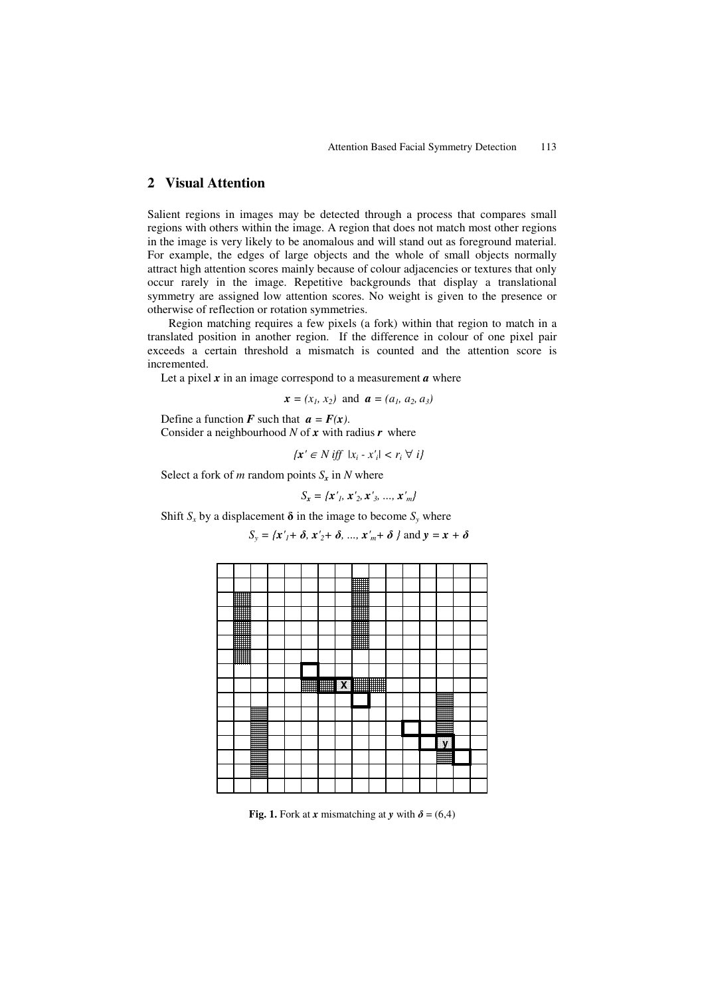## **2 Visual Attention**

Salient regions in images may be detected through a process that compares small regions with others within the image. A region that does not match most other regions in the image is very likely to be anomalous and will stand out as foreground material. For example, the edges of large objects and the whole of small objects normally attract high attention scores mainly because of colour adjacencies or textures that only occur rarely in the image. Repetitive backgrounds that display a translational symmetry are assigned low attention scores. No weight is given to the presence or otherwise of reflection or rotation symmetries.

Region matching requires a few pixels (a fork) within that region to match in a translated position in another region. If the difference in colour of one pixel pair exceeds a certain threshold a mismatch is counted and the attention score is incremented.

Let a pixel  $x$  in an image correspond to a measurement  $a$  where

$$
x = (x_1, x_2)
$$
 and  $a = (a_1, a_2, a_3)$ 

Define a function *F* such that  $a = F(x)$ . Consider a neighbourhood *N* of *x* with radius *r* where

*{x*<sup>*'*</sup> ∈ *N iff*  $|x_i - x'_i|$  < *r<sub>i</sub>*  $\forall$  *i}* 

Select a fork of *m* random points  $S_r$  in *N* where

$$
S_x = \{x'_1, x'_2, x'_3, ..., x'_m\}
$$

Shift  $S_x$  by a displacement  $\delta$  in the image to become  $S_y$  where

 $S_y = \{x'_1 + \delta, x'_2 + \delta, \ldots, x'_m + \delta\}$  and  $y = x + \delta$ 

|   |        |  |    |   |                         | H  |  |  |              |  |
|---|--------|--|----|---|-------------------------|----|--|--|--------------|--|
| H |        |  |    |   |                         | H  |  |  |              |  |
| H |        |  |    |   |                         | 鼺  |  |  |              |  |
| H |        |  |    |   |                         | H  |  |  |              |  |
| H |        |  |    |   |                         | H  |  |  |              |  |
| H |        |  |    |   |                         |    |  |  |              |  |
|   |        |  |    |   |                         |    |  |  |              |  |
|   |        |  |    |   |                         |    |  |  |              |  |
|   |        |  |    | 鼺 | $\overline{\mathbf{x}}$ |    |  |  |              |  |
|   |        |  | W₩ |   |                         | WW |  |  |              |  |
|   |        |  |    |   |                         |    |  |  | I            |  |
|   | III    |  |    |   |                         |    |  |  | H<br>F       |  |
|   | H<br>  |  |    |   |                         |    |  |  | $\mathbf{v}$ |  |
|   |        |  |    |   |                         |    |  |  | ≣            |  |
|   | ∰<br>H |  |    |   |                         |    |  |  |              |  |

**Fig. 1.** Fork at *x* mismatching at *y* with  $\delta = (6,4)$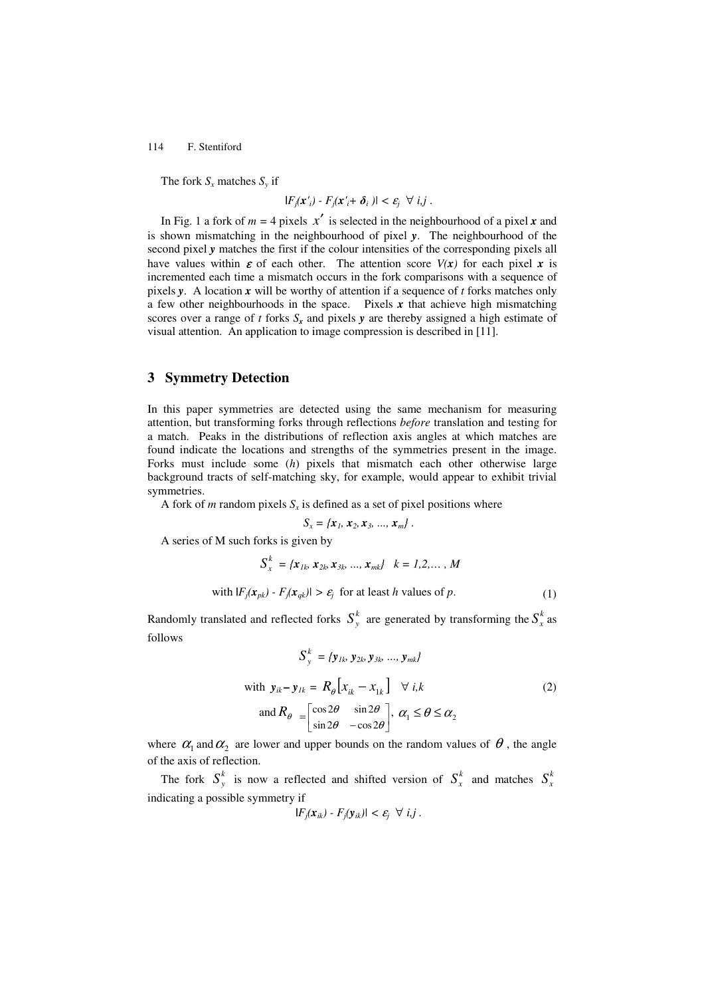114 F. Stentiford

The fork  $S_x$  matches  $S_y$  if

 $|F_j(x'_i) - F_j(x'_i + \delta_i)| < \varepsilon_j \ \forall \ i, j$ .

In Fig. 1 a fork of  $m = 4$  pixels  $x'$  is selected in the neighbourhood of a pixel x and is shown mismatching in the neighbourhood of pixel *y*. The neighbourhood of the second pixel *y* matches the first if the colour intensities of the corresponding pixels all have values within  $\varepsilon$  of each other. The attention score  $V(x)$  for each pixel x is incremented each time a mismatch occurs in the fork comparisons with a sequence of pixels *y*. A location *x* will be worthy of attention if a sequence of *t* forks matches only a few other neighbourhoods in the space. Pixels  $x$  that achieve high mismatching scores over a range of  $t$  forks  $S_x$  and pixels  $y$  are thereby assigned a high estimate of visual attention. An application to image compression is described in [11].

## **3 Symmetry Detection**

In this paper symmetries are detected using the same mechanism for measuring attention, but transforming forks through reflections *before* translation and testing for a match. Peaks in the distributions of reflection axis angles at which matches are found indicate the locations and strengths of the symmetries present in the image. Forks must include some (*h*) pixels that mismatch each other otherwise large background tracts of self-matching sky, for example, would appear to exhibit trivial symmetries.

A fork of *m* random pixels  $S<sub>x</sub>$  is defined as a set of pixel positions where

$$
S_x = \{x_1, x_2, x_3, ..., x_m\}.
$$

A series of M such forks is given by

*k*

$$
S_x^k = \{x_{1k}, x_{2k}, x_{3k}, ..., x_{mk}\} \quad k = 1, 2, ..., M
$$

with 
$$
|F_j(x_{pk}) - F_j(x_{qk})| > \varepsilon_j
$$
 for at least *h* values of *p*. (1)

Randomly translated and reflected forks  $S_y^k$  are generated by transforming the  $S_x^k$  as follows

$$
S_{y}^{k} = \{y_{1k}, y_{2k}, y_{3k}, ..., y_{mk}\}\
$$
  
with  $y_{ik} - y_{1k} = R_{\theta}[x_{ik} - x_{1k}] \quad \forall i,k$   
and  $R_{\theta} = \begin{bmatrix} \cos 2\theta & \sin 2\theta \\ \sin 2\theta & -\cos 2\theta \end{bmatrix}, \alpha_{1} \le \theta \le \alpha_{2}$  (2)

where  $\alpha_1$  and  $\alpha_2$  are lower and upper bounds on the random values of  $\theta$ , the angle of the axis of reflection.

The fork  $S_y^k$  is now a reflected and shifted version of  $S_x^k$  and matches  $S_x^k$ indicating a possible symmetry if

$$
|F_j(\boldsymbol{x}_{ik}) - F_j(\boldsymbol{y}_{ik})| < \varepsilon_j \ \forall \ i,j
$$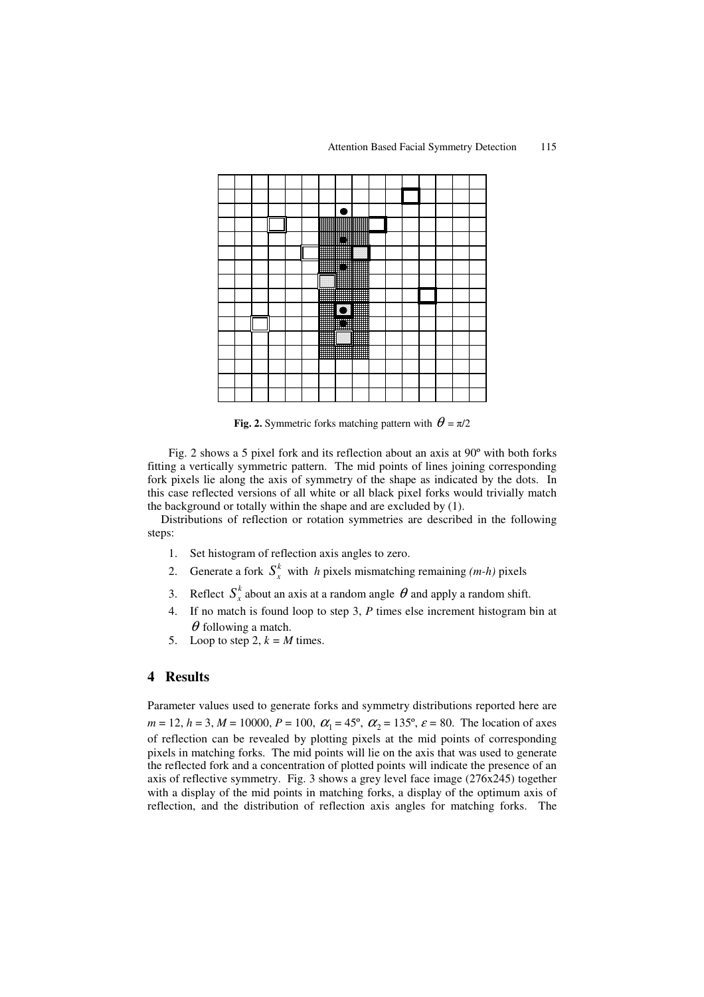

**Fig. 2.** Symmetric forks matching pattern with  $\theta = \pi/2$ 

Fig. 2 shows a 5 pixel fork and its reflection about an axis at 90º with both forks fitting a vertically symmetric pattern. The mid points of lines joining corresponding fork pixels lie along the axis of symmetry of the shape as indicated by the dots. In this case reflected versions of all white or all black pixel forks would trivially match the background or totally within the shape and are excluded by (1).

Distributions of reflection or rotation symmetries are described in the following steps:

- 1. Set histogram of reflection axis angles to zero.
- 2. Generate a fork  $S_x^k$  with *h* pixels mismatching remaining *(m-h)* pixels
- 3. Reflect  $S_x^k$  about an axis at a random angle  $\theta$  and apply a random shift.
- 4. If no match is found loop to step 3, *P* times else increment histogram bin at  $\theta$  following a match.
- 5. Loop to step 2,  $k = M$  times.

### **4 Results**

Parameter values used to generate forks and symmetry distributions reported here are  $m = 12$ ,  $h = 3$ ,  $M = 10000$ ,  $P = 100$ ,  $\alpha_1 = 45^\circ$ ,  $\alpha_2 = 135^\circ$ ,  $\varepsilon = 80$ . The location of axes of reflection can be revealed by plotting pixels at the mid points of corresponding pixels in matching forks. The mid points will lie on the axis that was used to generate the reflected fork and a concentration of plotted points will indicate the presence of an axis of reflective symmetry. Fig. 3 shows a grey level face image (276x245) together with a display of the mid points in matching forks, a display of the optimum axis of reflection, and the distribution of reflection axis angles for matching forks. The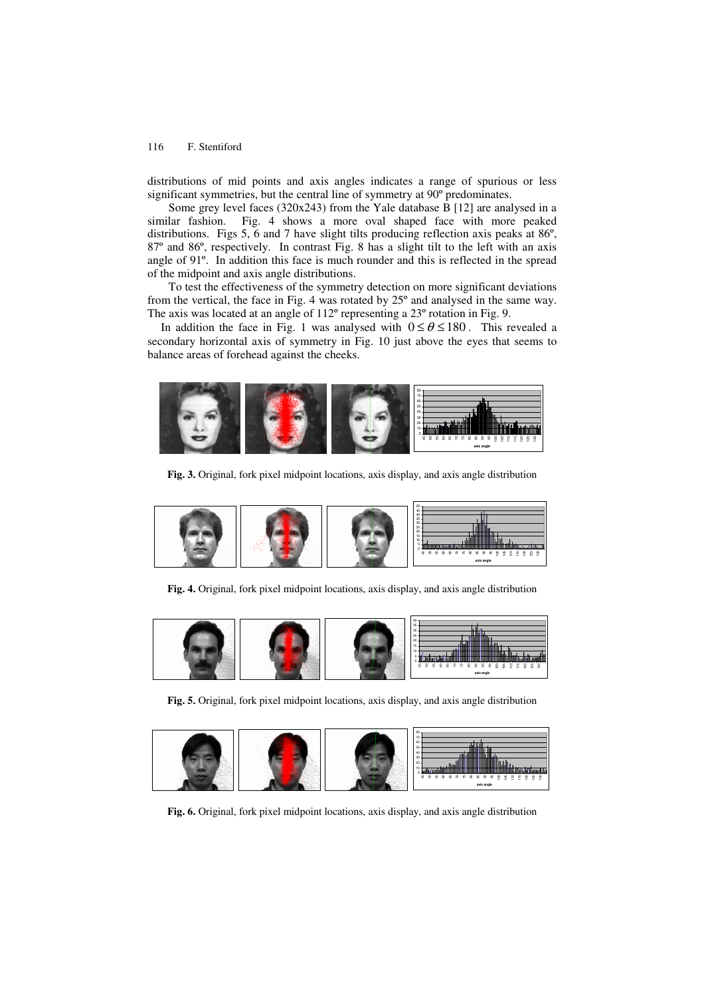#### 116 F. Stentiford

distributions of mid points and axis angles indicates a range of spurious or less significant symmetries, but the central line of symmetry at 90º predominates.

Some grey level faces (320x243) from the Yale database B [12] are analysed in a similar fashion. Fig. 4 shows a more oval shaped face with more peaked distributions. Figs 5, 6 and 7 have slight tilts producing reflection axis peaks at 86º, 87º and 86º, respectively. In contrast Fig. 8 has a slight tilt to the left with an axis angle of 91º. In addition this face is much rounder and this is reflected in the spread of the midpoint and axis angle distributions.

To test the effectiveness of the symmetry detection on more significant deviations from the vertical, the face in Fig. 4 was rotated by 25º and analysed in the same way. The axis was located at an angle of 112º representing a 23º rotation in Fig. 9.

In addition the face in Fig. 1 was analysed with  $0 \le \theta \le 180$ . This revealed a secondary horizontal axis of symmetry in Fig. 10 just above the eyes that seems to balance areas of forehead against the cheeks.



**Fig. 3.** Original, fork pixel midpoint locations, axis display, and axis angle distribution



**Fig. 4.** Original, fork pixel midpoint locations, axis display, and axis angle distribution



**Fig. 5.** Original, fork pixel midpoint locations, axis display, and axis angle distribution



**Fig. 6.** Original, fork pixel midpoint locations, axis display, and axis angle distribution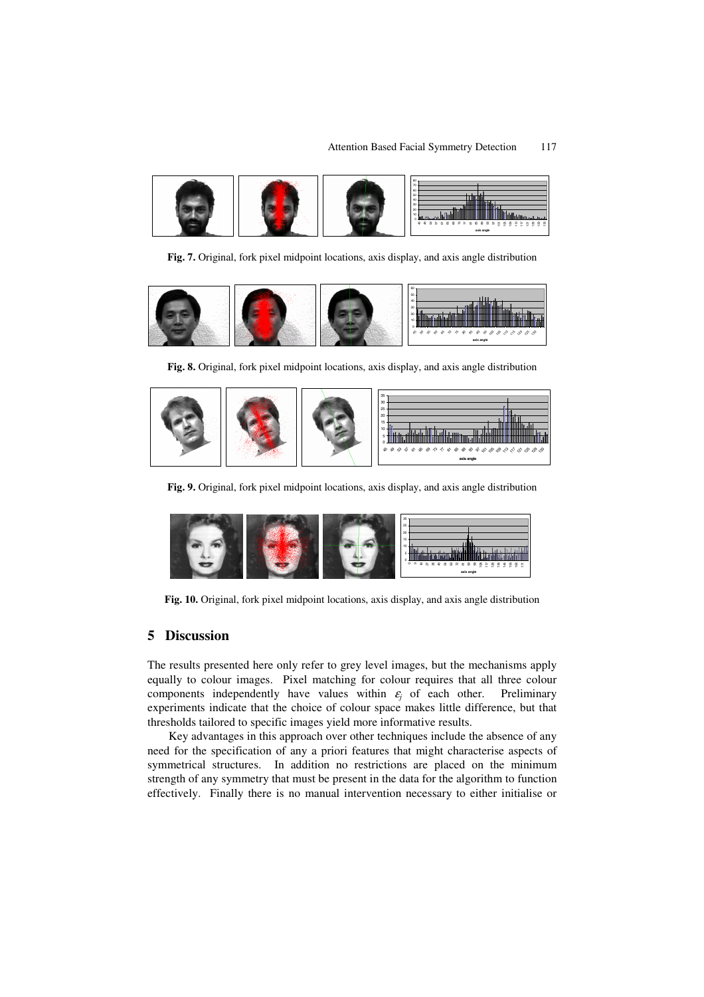

**Fig. 7.** Original, fork pixel midpoint locations, axis display, and axis angle distribution



**Fig. 8.** Original, fork pixel midpoint locations, axis display, and axis angle distribution



**Fig. 9.** Original, fork pixel midpoint locations, axis display, and axis angle distribution



**Fig. 10.** Original, fork pixel midpoint locations, axis display, and axis angle distribution

## **5 Discussion**

The results presented here only refer to grey level images, but the mechanisms apply equally to colour images. Pixel matching for colour requires that all three colour components independently have values within  $\varepsilon_i$  of each other. Preliminary experiments indicate that the choice of colour space makes little difference, but that thresholds tailored to specific images yield more informative results.

Key advantages in this approach over other techniques include the absence of any need for the specification of any a priori features that might characterise aspects of symmetrical structures. In addition no restrictions are placed on the minimum strength of any symmetry that must be present in the data for the algorithm to function effectively. Finally there is no manual intervention necessary to either initialise or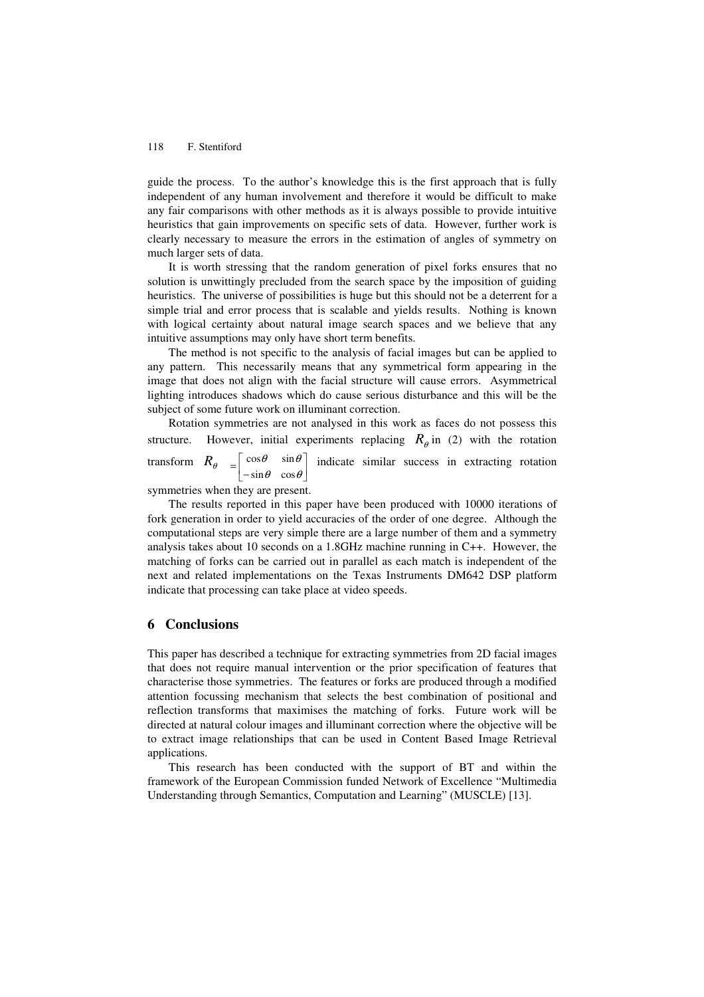#### 118 F. Stentiford

guide the process. To the author's knowledge this is the first approach that is fully independent of any human involvement and therefore it would be difficult to make any fair comparisons with other methods as it is always possible to provide intuitive heuristics that gain improvements on specific sets of data. However, further work is clearly necessary to measure the errors in the estimation of angles of symmetry on much larger sets of data.

It is worth stressing that the random generation of pixel forks ensures that no solution is unwittingly precluded from the search space by the imposition of guiding heuristics. The universe of possibilities is huge but this should not be a deterrent for a simple trial and error process that is scalable and yields results. Nothing is known with logical certainty about natural image search spaces and we believe that any intuitive assumptions may only have short term benefits.

The method is not specific to the analysis of facial images but can be applied to any pattern. This necessarily means that any symmetrical form appearing in the image that does not align with the facial structure will cause errors. Asymmetrical lighting introduces shadows which do cause serious disturbance and this will be the subject of some future work on illuminant correction.

Rotation symmetries are not analysed in this work as faces do not possess this structure. However, initial experiments replacing  $R_{\theta}$  in (2) with the rotation transform  $R_{\theta} = \begin{bmatrix} \cos \theta & \sin \theta \\ -\sin \theta & \cos \theta \end{bmatrix}$  $=\begin{vmatrix} \cos\theta & \sin\theta \\ -\sin\theta & \cos\theta \end{vmatrix}$  $\sin \theta$  cos  $\cos\theta$   $\sin\theta$  indicate similar success in extracting rotation

symmetries when they are present.

The results reported in this paper have been produced with 10000 iterations of fork generation in order to yield accuracies of the order of one degree. Although the computational steps are very simple there are a large number of them and a symmetry analysis takes about 10 seconds on a 1.8GHz machine running in C++. However, the matching of forks can be carried out in parallel as each match is independent of the next and related implementations on the Texas Instruments DM642 DSP platform indicate that processing can take place at video speeds.

### **6 Conclusions**

This paper has described a technique for extracting symmetries from 2D facial images that does not require manual intervention or the prior specification of features that characterise those symmetries. The features or forks are produced through a modified attention focussing mechanism that selects the best combination of positional and reflection transforms that maximises the matching of forks. Future work will be directed at natural colour images and illuminant correction where the objective will be to extract image relationships that can be used in Content Based Image Retrieval applications.

This research has been conducted with the support of BT and within the framework of the European Commission funded Network of Excellence "Multimedia Understanding through Semantics, Computation and Learning" (MUSCLE) [13].